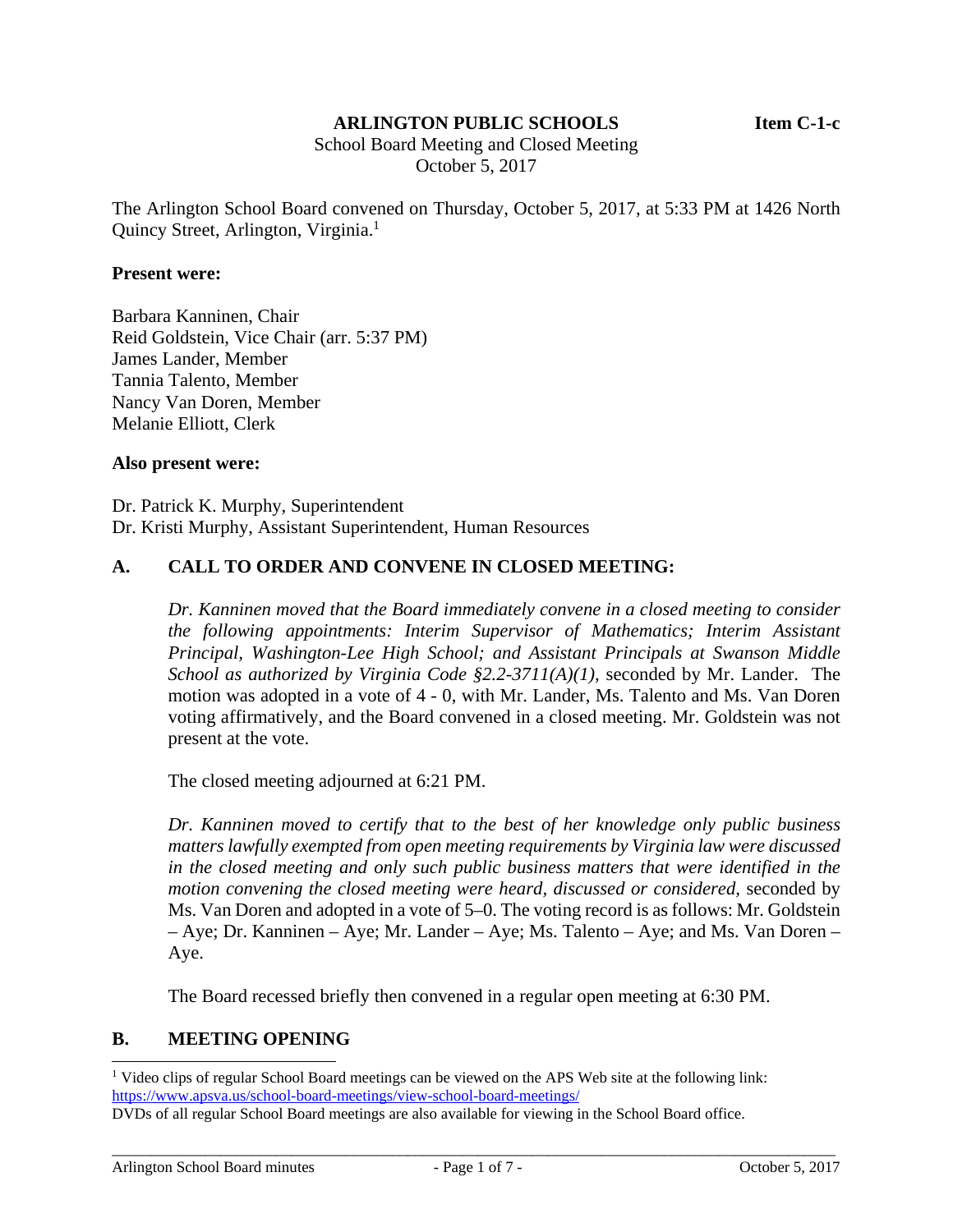#### **ARLINGTON PUBLIC SCHOOLS Item C-1-c**

 School Board Meeting and Closed Meeting October 5, 2017

The Arlington School Board convened on Thursday, October 5, 2017, at 5:33 PM at 1426 North Quincy Street, Arlington, Virginia.<sup>1</sup>

#### **Present were:**

Barbara Kanninen, Chair Reid Goldstein, Vice Chair (arr. 5:37 PM) James Lander, Member Tannia Talento, Member Nancy Van Doren, Member Melanie Elliott, Clerk

#### **Also present were:**

Dr. Patrick K. Murphy, Superintendent Dr. Kristi Murphy, Assistant Superintendent, Human Resources

## **A. CALL TO ORDER AND CONVENE IN CLOSED MEETING:**

*Dr. Kanninen moved that the Board immediately convene in a closed meeting to consider the following appointments: Interim Supervisor of Mathematics; Interim Assistant Principal, Washington-Lee High School; and Assistant Principals at Swanson Middle School as authorized by Virginia Code §2.2-3711(A)(1),* seconded by Mr. Lander. The motion was adopted in a vote of 4 - 0, with Mr. Lander, Ms. Talento and Ms. Van Doren voting affirmatively, and the Board convened in a closed meeting. Mr. Goldstein was not present at the vote.

The closed meeting adjourned at 6:21 PM.

*Dr. Kanninen moved to certify that to the best of her knowledge only public business matters lawfully exempted from open meeting requirements by Virginia law were discussed in the closed meeting and only such public business matters that were identified in the motion convening the closed meeting were heard, discussed or considered,* seconded by Ms. Van Doren and adopted in a vote of 5–0. The voting record is as follows: Mr. Goldstein – Aye; Dr. Kanninen – Aye; Mr. Lander – Aye; Ms. Talento – Aye; and Ms. Van Doren – Aye.

The Board recessed briefly then convened in a regular open meeting at 6:30 PM.

#### **B. MEETING OPENING**

l

<sup>&</sup>lt;sup>1</sup> Video clips of regular School Board meetings can be viewed on the APS Web site at the following link: https://www.apsva.us/school-board-meetings/view-school-board-meetings/

DVDs of all regular School Board meetings are also available for viewing in the School Board office.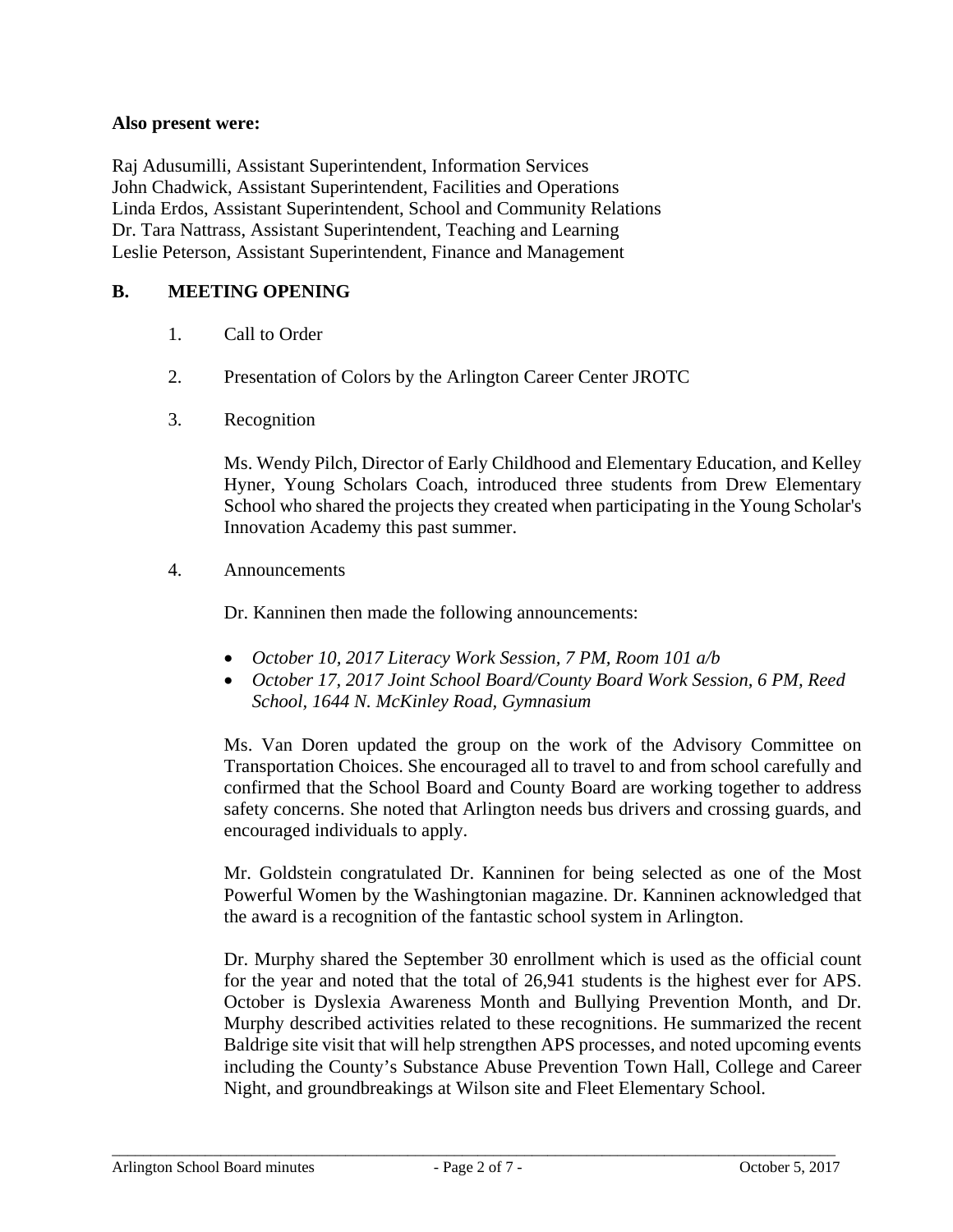### **Also present were:**

Raj Adusumilli, Assistant Superintendent, Information Services John Chadwick, Assistant Superintendent, Facilities and Operations Linda Erdos, Assistant Superintendent, School and Community Relations Dr. Tara Nattrass, Assistant Superintendent, Teaching and Learning Leslie Peterson, Assistant Superintendent, Finance and Management

## **B. MEETING OPENING**

- 1. Call to Order
- 2. Presentation of Colors by the Arlington Career Center JROTC
- 3. Recognition

Ms. Wendy Pilch, Director of Early Childhood and Elementary Education, and Kelley Hyner, Young Scholars Coach, introduced three students from Drew Elementary School who shared the projects they created when participating in the Young Scholar's Innovation Academy this past summer.

4. Announcements

Dr. Kanninen then made the following announcements:

- *October 10, 2017 Literacy Work Session, 7 PM, Room 101 a/b*
- *October 17, 2017 Joint School Board/County Board Work Session, 6 PM, Reed School, 1644 N. McKinley Road, Gymnasium*

Ms. Van Doren updated the group on the work of the Advisory Committee on Transportation Choices. She encouraged all to travel to and from school carefully and confirmed that the School Board and County Board are working together to address safety concerns. She noted that Arlington needs bus drivers and crossing guards, and encouraged individuals to apply.

Mr. Goldstein congratulated Dr. Kanninen for being selected as one of the Most Powerful Women by the Washingtonian magazine. Dr. Kanninen acknowledged that the award is a recognition of the fantastic school system in Arlington.

Dr. Murphy shared the September 30 enrollment which is used as the official count for the year and noted that the total of 26,941 students is the highest ever for APS. October is Dyslexia Awareness Month and Bullying Prevention Month, and Dr. Murphy described activities related to these recognitions. He summarized the recent Baldrige site visit that will help strengthen APS processes, and noted upcoming events including the County's Substance Abuse Prevention Town Hall, College and Career Night, and groundbreakings at Wilson site and Fleet Elementary School.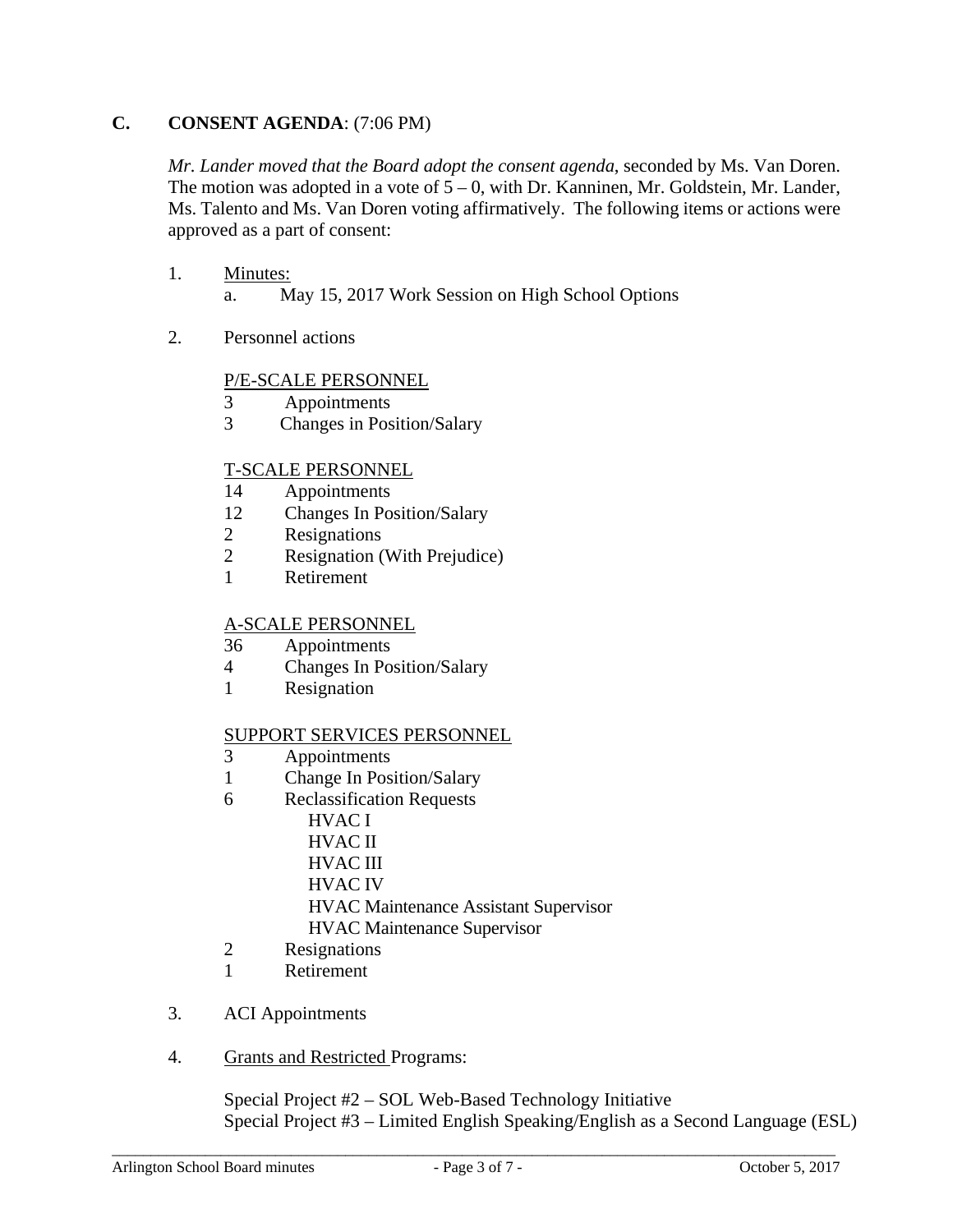# **C. CONSENT AGENDA**: (7:06 PM)

*Mr. Lander moved that the Board adopt the consent agenda*, seconded by Ms. Van Doren. The motion was adopted in a vote of  $5 - 0$ , with Dr. Kanninen, Mr. Goldstein, Mr. Lander, Ms. Talento and Ms. Van Doren voting affirmatively. The following items or actions were approved as a part of consent:

## 1. Minutes:

a. May 15, 2017 Work Session on High School Options

2. Personnel actions

#### P/E-SCALE PERSONNEL

- 3 Appointments
- 3 Changes in Position/Salary

## T-SCALE PERSONNEL

- 14 Appointments
- 12 Changes In Position/Salary
- 2 Resignations
- 2 Resignation (With Prejudice)
- 1 Retirement

### A-SCALE PERSONNEL

- 36 Appointments
- 4 Changes In Position/Salary
- 1 Resignation

#### SUPPORT SERVICES PERSONNEL

- 3 Appointments
- 1 Change In Position/Salary
- 6 Reclassification Requests
	- HVAC I HVAC II HVAC III HVAC IV HVAC Maintenance Assistant Supervisor HVAC Maintenance Supervisor
- 2 Resignations
- 1 Retirement
- 3. ACI Appointments
- 4. Grants and Restricted Programs:

Special Project #2 – SOL Web-Based Technology Initiative Special Project #3 – Limited English Speaking/English as a Second Language (ESL)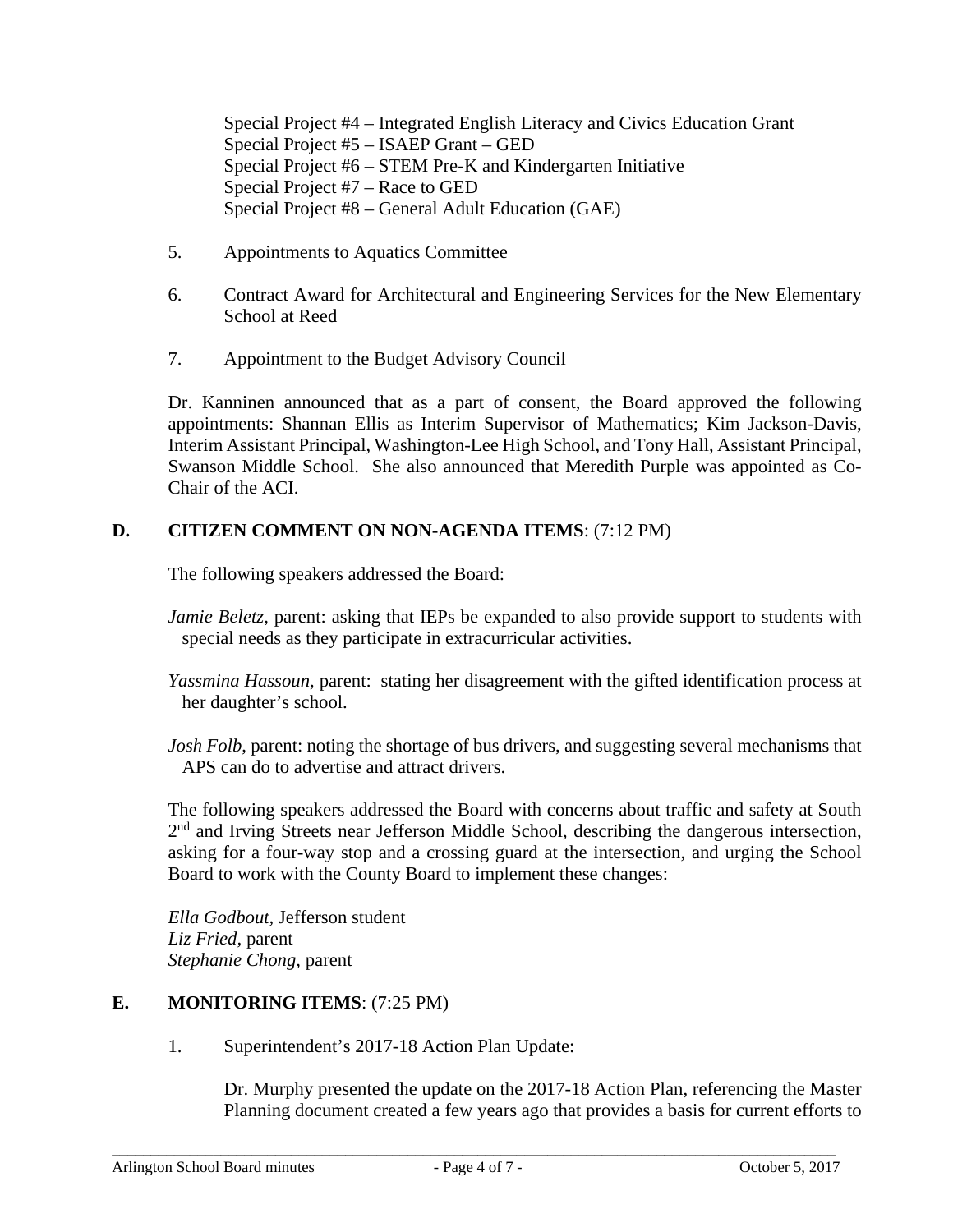Special Project #4 – Integrated English Literacy and Civics Education Grant Special Project #5 – ISAEP Grant – GED Special Project #6 – STEM Pre-K and Kindergarten Initiative Special Project #7 – Race to GED Special Project #8 – General Adult Education (GAE)

- 5. Appointments to Aquatics Committee
- 6. Contract Award for Architectural and Engineering Services for the New Elementary School at Reed
- 7. Appointment to the Budget Advisory Council

Dr. Kanninen announced that as a part of consent, the Board approved the following appointments: Shannan Ellis as Interim Supervisor of Mathematics; Kim Jackson-Davis, Interim Assistant Principal, Washington-Lee High School, and Tony Hall, Assistant Principal, Swanson Middle School. She also announced that Meredith Purple was appointed as Co-Chair of the ACI.

# **D. CITIZEN COMMENT ON NON-AGENDA ITEMS**: (7:12 PM)

The following speakers addressed the Board:

- *Jamie Beletz*, parent: asking that IEPs be expanded to also provide support to students with special needs as they participate in extracurricular activities.
- *Yassmina Hassoun,* parent: stating her disagreement with the gifted identification process at her daughter's school.
- *Josh Folb*, parent: noting the shortage of bus drivers, and suggesting several mechanisms that APS can do to advertise and attract drivers.

The following speakers addressed the Board with concerns about traffic and safety at South 2<sup>nd</sup> and Irving Streets near Jefferson Middle School, describing the dangerous intersection, asking for a four-way stop and a crossing guard at the intersection, and urging the School Board to work with the County Board to implement these changes:

*Ella Godbout,* Jefferson student *Liz Fried,* parent *Stephanie Chong,* parent

## **E. MONITORING ITEMS**: (7:25 PM)

1. Superintendent's 2017-18 Action Plan Update:

Dr. Murphy presented the update on the 2017-18 Action Plan, referencing the Master Planning document created a few years ago that provides a basis for current efforts to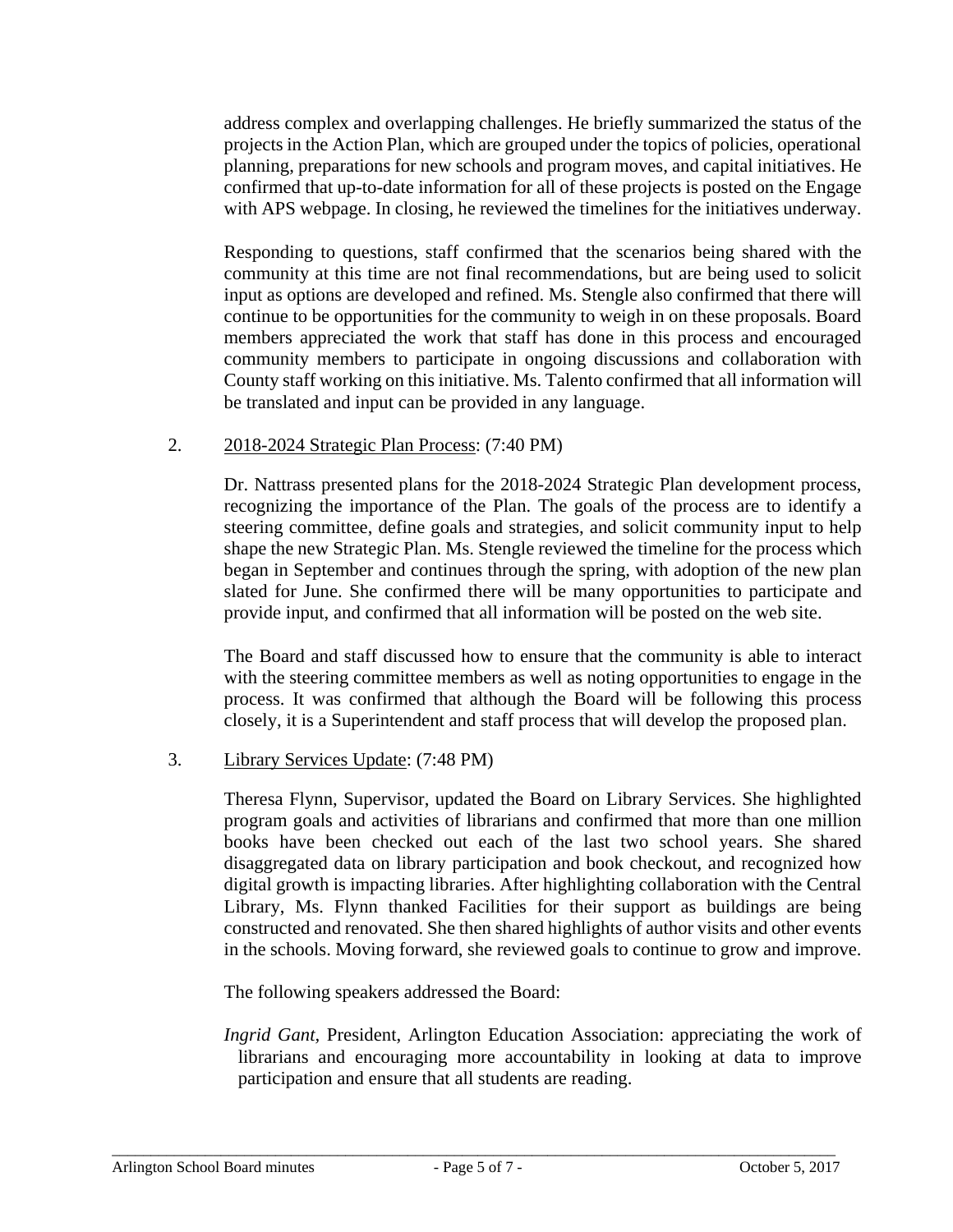address complex and overlapping challenges. He briefly summarized the status of the projects in the Action Plan, which are grouped under the topics of policies, operational planning, preparations for new schools and program moves, and capital initiatives. He confirmed that up-to-date information for all of these projects is posted on the Engage with APS webpage. In closing, he reviewed the timelines for the initiatives underway.

Responding to questions, staff confirmed that the scenarios being shared with the community at this time are not final recommendations, but are being used to solicit input as options are developed and refined. Ms. Stengle also confirmed that there will continue to be opportunities for the community to weigh in on these proposals. Board members appreciated the work that staff has done in this process and encouraged community members to participate in ongoing discussions and collaboration with County staff working on this initiative. Ms. Talento confirmed that all information will be translated and input can be provided in any language.

#### 2. 2018-2024 Strategic Plan Process: (7:40 PM)

Dr. Nattrass presented plans for the 2018-2024 Strategic Plan development process, recognizing the importance of the Plan. The goals of the process are to identify a steering committee, define goals and strategies, and solicit community input to help shape the new Strategic Plan. Ms. Stengle reviewed the timeline for the process which began in September and continues through the spring, with adoption of the new plan slated for June. She confirmed there will be many opportunities to participate and provide input, and confirmed that all information will be posted on the web site.

The Board and staff discussed how to ensure that the community is able to interact with the steering committee members as well as noting opportunities to engage in the process. It was confirmed that although the Board will be following this process closely, it is a Superintendent and staff process that will develop the proposed plan.

#### 3. Library Services Update: (7:48 PM)

Theresa Flynn, Supervisor, updated the Board on Library Services. She highlighted program goals and activities of librarians and confirmed that more than one million books have been checked out each of the last two school years. She shared disaggregated data on library participation and book checkout, and recognized how digital growth is impacting libraries. After highlighting collaboration with the Central Library, Ms. Flynn thanked Facilities for their support as buildings are being constructed and renovated. She then shared highlights of author visits and other events in the schools. Moving forward, she reviewed goals to continue to grow and improve.

The following speakers addressed the Board:

*Ingrid Gant,* President, Arlington Education Association: appreciating the work of librarians and encouraging more accountability in looking at data to improve participation and ensure that all students are reading.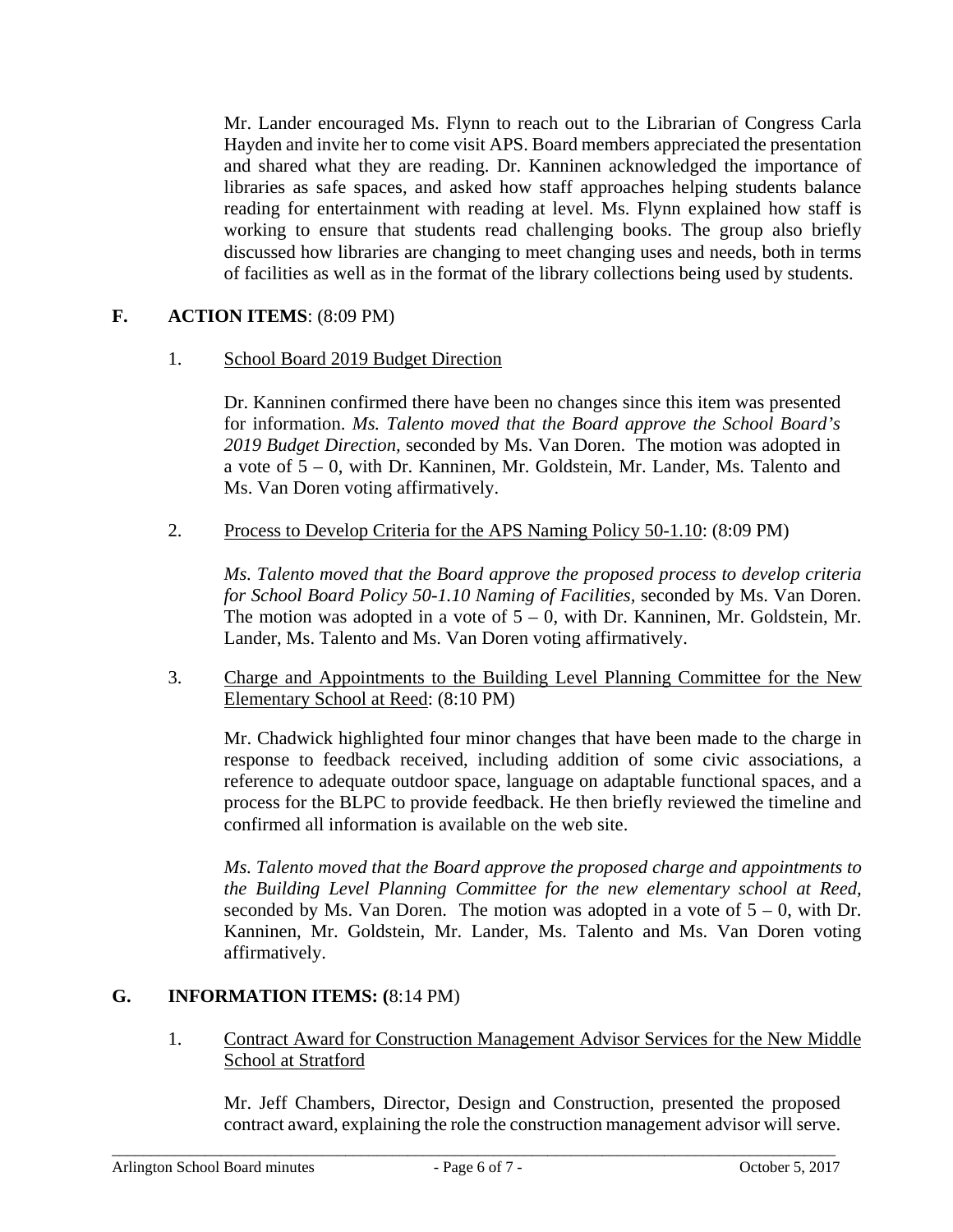Mr. Lander encouraged Ms. Flynn to reach out to the Librarian of Congress Carla Hayden and invite her to come visit APS. Board members appreciated the presentation and shared what they are reading. Dr. Kanninen acknowledged the importance of libraries as safe spaces, and asked how staff approaches helping students balance reading for entertainment with reading at level. Ms. Flynn explained how staff is working to ensure that students read challenging books. The group also briefly discussed how libraries are changing to meet changing uses and needs, both in terms of facilities as well as in the format of the library collections being used by students.

## **F. ACTION ITEMS**: (8:09 PM)

1. School Board 2019 Budget Direction

Dr. Kanninen confirmed there have been no changes since this item was presented for information. *Ms. Talento moved that the Board approve the School Board's 2019 Budget Direction,* seconded by Ms. Van Doren. The motion was adopted in a vote of 5 – 0, with Dr. Kanninen, Mr. Goldstein, Mr. Lander, Ms. Talento and Ms. Van Doren voting affirmatively.

2. Process to Develop Criteria for the APS Naming Policy 50-1.10: (8:09 PM)

*Ms. Talento moved that the Board approve the proposed process to develop criteria for School Board Policy 50-1.10 Naming of Facilities,* seconded by Ms. Van Doren. The motion was adopted in a vote of  $5 - 0$ , with Dr. Kanninen, Mr. Goldstein, Mr. Lander, Ms. Talento and Ms. Van Doren voting affirmatively.

3. Charge and Appointments to the Building Level Planning Committee for the New Elementary School at Reed: (8:10 PM)

Mr. Chadwick highlighted four minor changes that have been made to the charge in response to feedback received, including addition of some civic associations, a reference to adequate outdoor space, language on adaptable functional spaces, and a process for the BLPC to provide feedback. He then briefly reviewed the timeline and confirmed all information is available on the web site.

*Ms. Talento moved that the Board approve the proposed charge and appointments to the Building Level Planning Committee for the new elementary school at Reed,*  seconded by Ms. Van Doren. The motion was adopted in a vote of  $5 - 0$ , with Dr. Kanninen, Mr. Goldstein, Mr. Lander, Ms. Talento and Ms. Van Doren voting affirmatively.

## **G. INFORMATION ITEMS: (**8:14 PM)

1. Contract Award for Construction Management Advisor Services for the New Middle School at Stratford

Mr. Jeff Chambers, Director, Design and Construction, presented the proposed contract award, explaining the role the construction management advisor will serve.